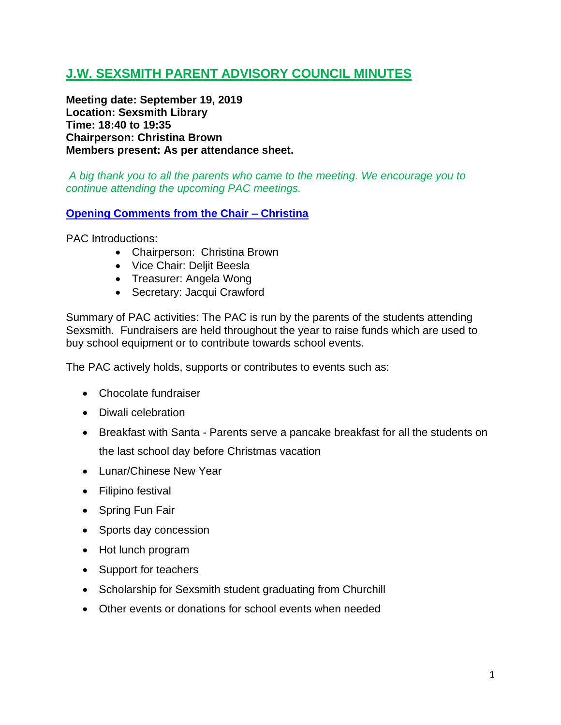# **J.W. SEXSMITH PARENT ADVISORY COUNCIL MINUTES**

**Meeting date: September 19, 2019 Location: Sexsmith Library Time: 18:40 to 19:35 Chairperson: Christina Brown Members present: As per attendance sheet.**

*A big thank you to all the parents who came to the meeting. We encourage you to continue attending the upcoming PAC meetings.*

### **Opening Comments from the Chair – Christina**

PAC Introductions:

- Chairperson: Christina Brown
- Vice Chair: Deljit Beesla
- Treasurer: Angela Wong
- Secretary: Jacqui Crawford

Summary of PAC activities: The PAC is run by the parents of the students attending Sexsmith. Fundraisers are held throughout the year to raise funds which are used to buy school equipment or to contribute towards school events.

The PAC actively holds, supports or contributes to events such as:

- Chocolate fundraiser
- Diwali celebration
- Breakfast with Santa Parents serve a pancake breakfast for all the students on the last school day before Christmas vacation
- Lunar/Chinese New Year
- Filipino festival
- Spring Fun Fair
- Sports day concession
- Hot lunch program
- Support for teachers
- Scholarship for Sexsmith student graduating from Churchill
- Other events or donations for school events when needed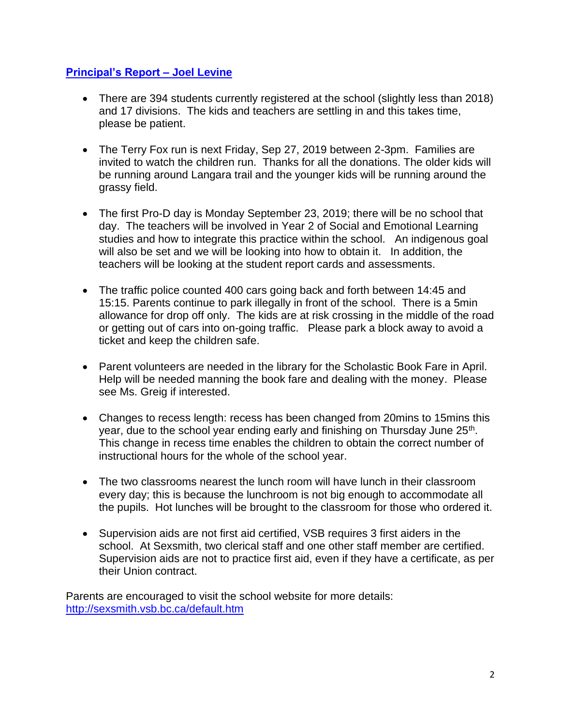# **Principal's Report – Joel Levine**

- There are 394 students currently registered at the school (slightly less than 2018) and 17 divisions. The kids and teachers are settling in and this takes time, please be patient.
- The Terry Fox run is next Friday, Sep 27, 2019 between 2-3pm. Families are invited to watch the children run. Thanks for all the donations. The older kids will be running around Langara trail and the younger kids will be running around the grassy field.
- The first Pro-D day is Monday September 23, 2019; there will be no school that day. The teachers will be involved in Year 2 of Social and Emotional Learning studies and how to integrate this practice within the school. An indigenous goal will also be set and we will be looking into how to obtain it. In addition, the teachers will be looking at the student report cards and assessments.
- The traffic police counted 400 cars going back and forth between 14:45 and 15:15. Parents continue to park illegally in front of the school. There is a 5min allowance for drop off only. The kids are at risk crossing in the middle of the road or getting out of cars into on-going traffic. Please park a block away to avoid a ticket and keep the children safe.
- Parent volunteers are needed in the library for the Scholastic Book Fare in April. Help will be needed manning the book fare and dealing with the money. Please see Ms. Greig if interested.
- Changes to recess length: recess has been changed from 20mins to 15mins this year, due to the school year ending early and finishing on Thursday June 25<sup>th</sup>. This change in recess time enables the children to obtain the correct number of instructional hours for the whole of the school year.
- The two classrooms nearest the lunch room will have lunch in their classroom every day; this is because the lunchroom is not big enough to accommodate all the pupils. Hot lunches will be brought to the classroom for those who ordered it.
- Supervision aids are not first aid certified, VSB requires 3 first aiders in the school. At Sexsmith, two clerical staff and one other staff member are certified. Supervision aids are not to practice first aid, even if they have a certificate, as per their Union contract.

Parents are encouraged to visit the school website for more details: <http://sexsmith.vsb.bc.ca/default.htm>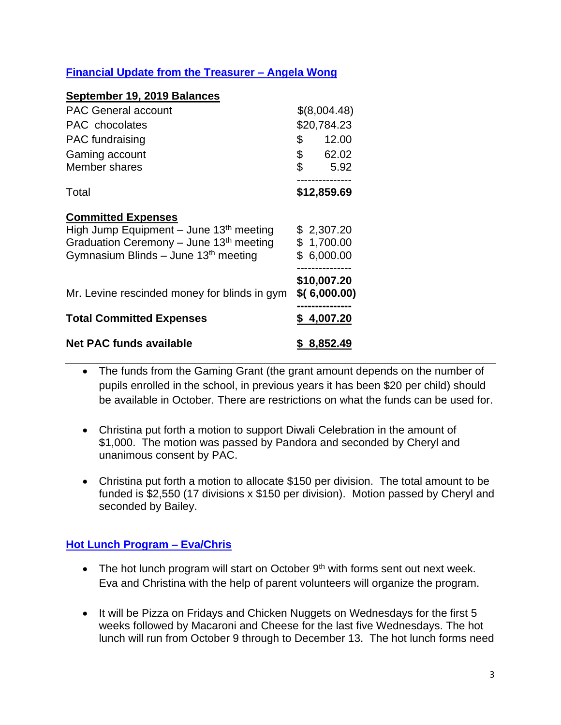# **Financial Update from the Treasurer – Angela Wong**

#### **September 19, 2019 Balances**

| <b>PAC General account</b>                                             | \$(8,004.48) |                             |
|------------------------------------------------------------------------|--------------|-----------------------------|
| PAC chocolates                                                         |              | \$20,784.23                 |
| <b>PAC</b> fundraising                                                 | \$           | 12.00                       |
| Gaming account                                                         | \$           | 62.02                       |
| Member shares                                                          | \$           | 5.92                        |
| Total                                                                  |              | \$12,859.69                 |
| <b>Committed Expenses</b><br>High Jump Equipment – June $13th$ meeting |              | \$2,307.20                  |
| Graduation Ceremony - June 13 <sup>th</sup> meeting                    |              | \$1,700.00                  |
| Gymnasium Blinds - June 13 <sup>th</sup> meeting                       |              | \$6,000.00                  |
|                                                                        |              |                             |
| Mr. Levine rescinded money for blinds in gym                           |              | \$10,007.20<br>\$(6,000.00) |
| <b>Total Committed Expenses</b>                                        |              | \$4,007.20                  |
| <b>Net PAC funds available</b>                                         |              | <u>8,852.49</u>             |

- The funds from the Gaming Grant (the grant amount depends on the number of pupils enrolled in the school, in previous years it has been \$20 per child) should be available in October. There are restrictions on what the funds can be used for.
- Christina put forth a motion to support Diwali Celebration in the amount of \$1,000. The motion was passed by Pandora and seconded by Cheryl and unanimous consent by PAC.
- Christina put forth a motion to allocate \$150 per division. The total amount to be funded is \$2,550 (17 divisions x \$150 per division). Motion passed by Cheryl and seconded by Bailey.

### **Hot Lunch Program – Eva/Chris**

- The hot lunch program will start on October  $9<sup>th</sup>$  with forms sent out next week. Eva and Christina with the help of parent volunteers will organize the program.
- It will be Pizza on Fridays and Chicken Nuggets on Wednesdays for the first 5 weeks followed by Macaroni and Cheese for the last five Wednesdays. The hot lunch will run from October 9 through to December 13. The hot lunch forms need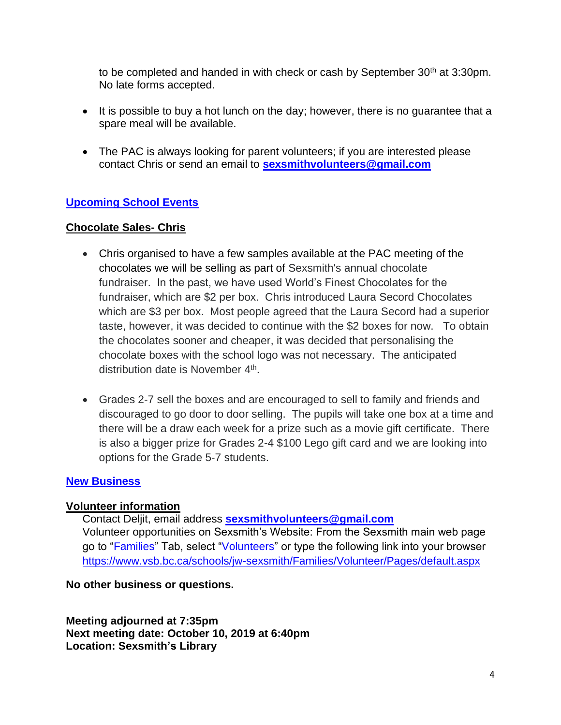to be completed and handed in with check or cash by September  $30<sup>th</sup>$  at  $3:30<sub>pm</sub>$ . No late forms accepted.

- It is possible to buy a hot lunch on the day; however, there is no quarantee that a spare meal will be available.
- The PAC is always looking for parent volunteers; if you are interested please contact Chris or send an email to **[sexsmithvolunteers@gmail.com](mailto:sexsmithvolunteers@gmail.com)**

# **Upcoming School Events**

### **Chocolate Sales- Chris**

- Chris organised to have a few samples available at the PAC meeting of the chocolates we will be selling as part of Sexsmith's annual chocolate fundraiser. In the past, we have used World's Finest Chocolates for the fundraiser, which are \$2 per box. Chris introduced Laura Secord Chocolates which are \$3 per box. Most people agreed that the Laura Secord had a superior taste, however, it was decided to continue with the \$2 boxes for now. To obtain the chocolates sooner and cheaper, it was decided that personalising the chocolate boxes with the school logo was not necessary. The anticipated distribution date is November 4<sup>th</sup>.
- Grades 2-7 sell the boxes and are encouraged to sell to family and friends and discouraged to go door to door selling. The pupils will take one box at a time and there will be a draw each week for a prize such as a movie gift certificate. There is also a bigger prize for Grades 2-4 \$100 Lego gift card and we are looking into options for the Grade 5-7 students.

# **New Business**

# **Volunteer information**

Contact Deljit, email address **[sexsmithvolunteers@gmail.com](mailto:sexsmithvolunteers@gmail.com)** Volunteer opportunities on Sexsmith's Website: From the Sexsmith main web page go to "Families" Tab, select "Volunteers" or type the following link into your browser <https://www.vsb.bc.ca/schools/jw-sexsmith/Families/Volunteer/Pages/default.aspx>

**No other business or questions.**

**Meeting adjourned at 7:35pm Next meeting date: October 10, 2019 at 6:40pm Location: Sexsmith's Library**